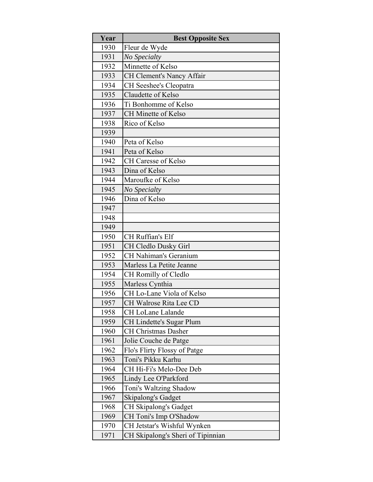| Year | <b>Best Opposite Sex</b>          |
|------|-----------------------------------|
| 1930 | Fleur de Wyde                     |
| 1931 | No Specialty                      |
| 1932 | Minnette of Kelso                 |
| 1933 | CH Clement's Nancy Affair         |
| 1934 | CH Seeshee's Cleopatra            |
| 1935 | Claudette of Kelso                |
| 1936 | Ti Bonhomme of Kelso              |
| 1937 | <b>CH Minette of Kelso</b>        |
| 1938 | Rico of Kelso                     |
| 1939 |                                   |
| 1940 | Peta of Kelso                     |
| 1941 | Peta of Kelso                     |
| 1942 | <b>CH Caresse of Kelso</b>        |
| 1943 | Dina of Kelso                     |
| 1944 | Maroufke of Kelso                 |
| 1945 | No Specialty                      |
| 1946 | Dina of Kelso                     |
| 1947 |                                   |
| 1948 |                                   |
| 1949 |                                   |
| 1950 | CH Ruffian's Elf                  |
| 1951 | CH Cledlo Dusky Girl              |
| 1952 | <b>CH Nahiman's Geranium</b>      |
| 1953 | Marless La Petite Jeanne          |
| 1954 | CH Romilly of Cledlo              |
| 1955 | Marless Cynthia                   |
| 1956 | CH Lo-Lane Viola of Kelso         |
| 1957 | CH Walrose Rita Lee CD            |
| 1958 | CH LoLane Lalande                 |
| 1959 | CH Lindette's Sugar Plum          |
| 1960 | <b>CH Christmas Dasher</b>        |
| 1961 | Jolie Couche de Patge             |
| 1962 | Flo's Flirty Flossy of Patge      |
| 1963 | Toni's Pikku Karhu                |
| 1964 | CH Hi-Fi's Melo-Dee Deb           |
| 1965 | Lindy Lee O'Parkford              |
| 1966 | Toni's Waltzing Shadow            |
| 1967 | Skipalong's Gadget                |
| 1968 | CH Skipalong's Gadget             |
| 1969 | CH Toni's Imp O'Shadow            |
| 1970 | CH Jetstar's Wishful Wynken       |
| 1971 | CH Skipalong's Sheri of Tipinnian |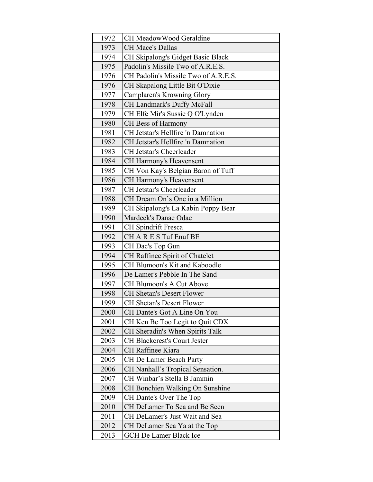| 1972 | CH MeadowWood Geraldine                |
|------|----------------------------------------|
| 1973 | <b>CH Mace's Dallas</b>                |
| 1974 | CH Skipalong's Gidget Basic Black      |
| 1975 | Padolin's Missile Two of A.R.E.S.      |
| 1976 | CH Padolin's Missile Two of A.R.E.S.   |
| 1976 | CH Skapalong Little Bit O'Dixie        |
| 1977 | Camplaren's Krowning Glory             |
| 1978 | CH Landmark's Duffy McFall             |
| 1979 | CH Elfe Mir's Sussie Q O'Lynden        |
| 1980 | CH Bess of Harmony                     |
| 1981 | CH Jetstar's Hellfire 'n Damnation     |
| 1982 | CH Jetstar's Hellfire 'n Damnation     |
| 1983 | CH Jetstar's Cheerleader               |
| 1984 | CH Harmony's Heavensent                |
| 1985 | CH Von Kay's Belgian Baron of Tuff     |
| 1986 | CH Harmony's Heavensent                |
| 1987 | CH Jetstar's Cheerleader               |
| 1988 | CH Dream On's One in a Million         |
| 1989 | CH Skipalong's La Kabin Poppy Bear     |
| 1990 | Mardeck's Danae Odae                   |
| 1991 | <b>CH</b> Spindrift Fresca             |
| 1992 | CHARES Tuf Enuf BE                     |
| 1993 | CH Dac's Top Gun                       |
| 1994 | CH Raffinee Spirit of Chatelet         |
| 1995 | CH Blumoon's Kit and Kaboodle          |
| 1996 | De Lamer's Pebble In The Sand          |
| 1997 | CH Blumoon's A Cut Above               |
| 1998 | <b>CH Shetan's Desert Flower</b>       |
| 1999 | <b>CH Shetan's Desert Flower</b>       |
| 2000 | CH Dante's Got A Line On You           |
| 2001 | CH Ken Be Too Legit to Quit CDX        |
| 2002 | CH Sheradin's When Spirits Talk        |
| 2003 | <b>CH Blackcrest's Court Jester</b>    |
| 2004 | CH Raffinee Kiara                      |
| 2005 | CH De Lamer Beach Party                |
| 2006 | CH Nanhall's Tropical Sensation.       |
| 2007 | CH Winbar's Stella B Jammin            |
| 2008 | <b>CH Bonchien Walking On Sunshine</b> |
| 2009 | CH Dante's Over The Top                |
| 2010 | CH DeLamer To Sea and Be Seen          |
| 2011 | CH DeLamer's Just Wait and Sea         |
| 2012 | CH DeLamer Sea Ya at the Top           |
| 2013 | <b>GCH De Lamer Black Ice</b>          |